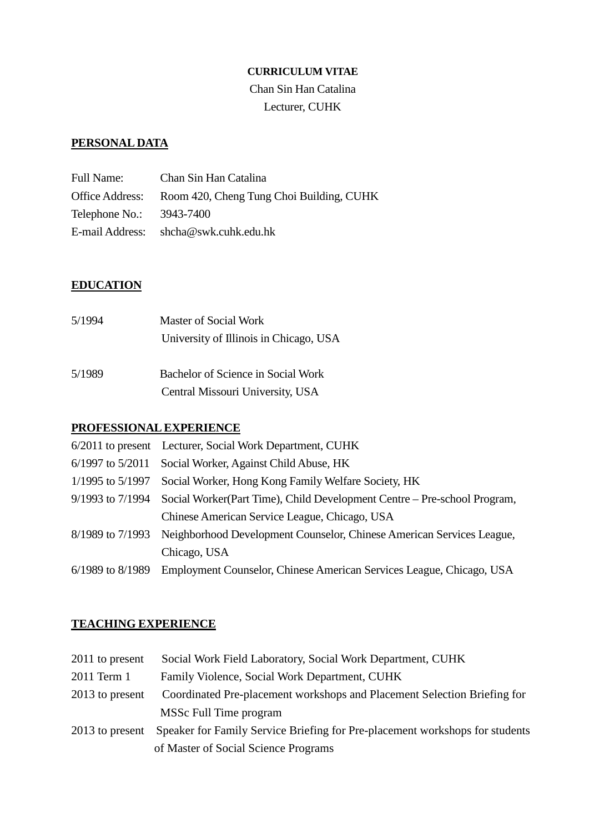### **CURRICULUM VITAE**

Chan Sin Han Catalina Lecturer, CUHK

# **PERSONAL DATA**

| <b>Full Name:</b>        | Chan Sin Han Catalina                    |
|--------------------------|------------------------------------------|
| Office Address:          | Room 420, Cheng Tung Choi Building, CUHK |
| Telephone No.: 3943-7400 |                                          |
|                          | E-mail Address: shcha@swk.cuhk.edu.hk    |

# **EDUCATION**

| 5/1994 | <b>Master of Social Work</b>           |
|--------|----------------------------------------|
|        | University of Illinois in Chicago, USA |
| 5/1989 | Bachelor of Science in Social Work     |
|        | Central Missouri University, USA       |

# **PROFESSIONAL EXPERIENCE**

| 6/2011 to present Lecturer, Social Work Department, CUHK                                  |
|-------------------------------------------------------------------------------------------|
| 6/1997 to 5/2011 Social Worker, Against Child Abuse, HK                                   |
| 1/1995 to 5/1997 Social Worker, Hong Kong Family Welfare Society, HK                      |
| 9/1993 to 7/1994 Social Worker(Part Time), Child Development Centre – Pre-school Program, |
| Chinese American Service League, Chicago, USA                                             |
| 8/1989 to 7/1993 Neighborhood Development Counselor, Chinese American Services League,    |
| Chicago, USA                                                                              |
| 6/1989 to 8/1989 Employment Counselor, Chinese American Services League, Chicago, USA     |

# **TEACHING EXPERIENCE**

| 2011 to present | Social Work Field Laboratory, Social Work Department, CUHK                   |
|-----------------|------------------------------------------------------------------------------|
| 2011 Term 1     | Family Violence, Social Work Department, CUHK                                |
| 2013 to present | Coordinated Pre-placement workshops and Placement Selection Briefing for     |
|                 | MSSc Full Time program                                                       |
| 2013 to present | Speaker for Family Service Briefing for Pre-placement workshops for students |
|                 | of Master of Social Science Programs                                         |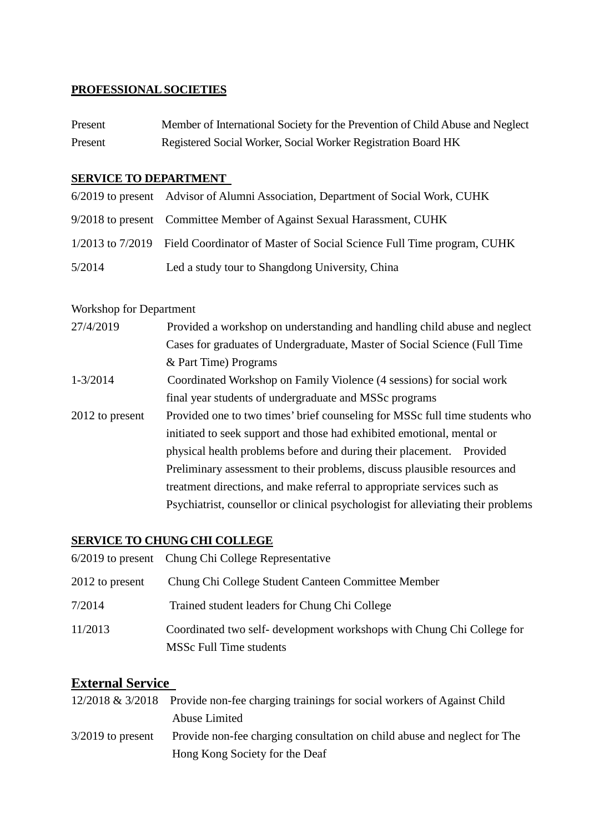# **PROFESSIONAL SOCIETIES**

| Present | Member of International Society for the Prevention of Child Abuse and Neglect |
|---------|-------------------------------------------------------------------------------|
| Present | Registered Social Worker, Social Worker Registration Board HK                 |

### **SERVICE TO DEPARTMENT**

|        | 6/2019 to present Advisor of Alumni Association, Department of Social Work, CUHK       |
|--------|----------------------------------------------------------------------------------------|
|        | 9/2018 to present Committee Member of Against Sexual Harassment, CUHK                  |
|        | 1/2013 to 7/2019 Field Coordinator of Master of Social Science Full Time program, CUHK |
| 5/2014 | Led a study tour to Shangdong University, China                                        |

# Workshop for Department

| 27/4/2019            | Provided a workshop on understanding and handling child abuse and neglect        |
|----------------------|----------------------------------------------------------------------------------|
|                      | Cases for graduates of Undergraduate, Master of Social Science (Full Time        |
|                      | & Part Time) Programs                                                            |
| $1 - \frac{3}{2014}$ | Coordinated Workshop on Family Violence (4 sessions) for social work             |
|                      | final year students of undergraduate and MSSc programs                           |
| 2012 to present      | Provided one to two times' brief counseling for MSSc full time students who      |
|                      | initiated to seek support and those had exhibited emotional, mental or           |
|                      | physical health problems before and during their placement. Provided             |
|                      | Preliminary assessment to their problems, discuss plausible resources and        |
|                      | treatment directions, and make referral to appropriate services such as          |
|                      | Psychiatrist, counsellor or clinical psychologist for alleviating their problems |

# **SERVICE TO CHUNG CHI COLLEGE**

|                 | 6/2019 to present Chung Chi College Representative                                                |
|-----------------|---------------------------------------------------------------------------------------------------|
| 2012 to present | Chung Chi College Student Canteen Committee Member                                                |
| 7/2014          | Trained student leaders for Chung Chi College                                                     |
| 11/2013         | Coordinated two self- development workshops with Chung Chi College for<br>MSSc Full Time students |

# **External Service**

|                     | 12/2018 & 3/2018 Provide non-fee charging trainings for social workers of Against Child |
|---------------------|-----------------------------------------------------------------------------------------|
|                     | Abuse Limited                                                                           |
| $3/2019$ to present | Provide non-fee charging consultation on child abuse and neglect for The                |
|                     | Hong Kong Society for the Deaf                                                          |